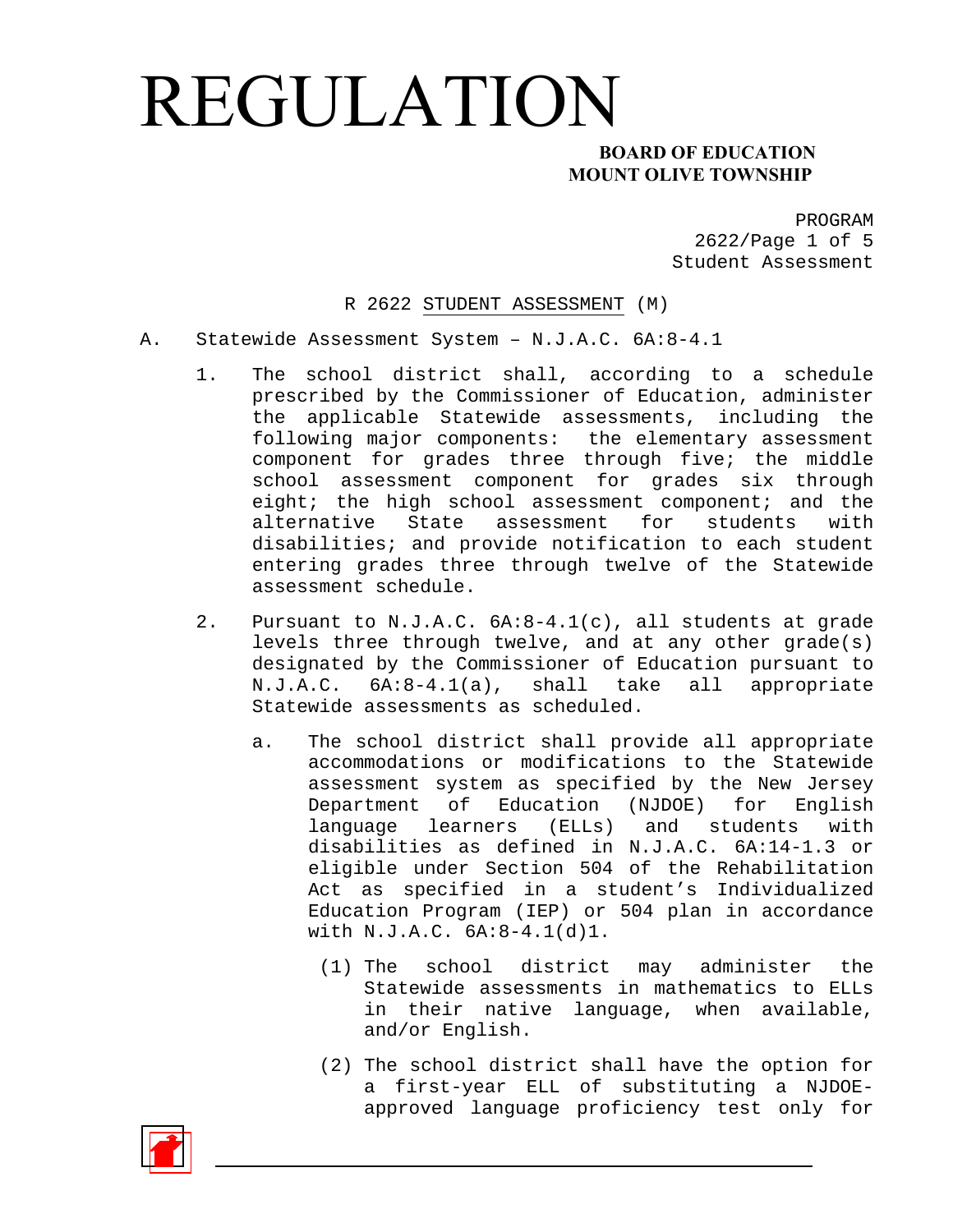#### **MOUNT OLIVE TOWNSHIP**

PROGRAM 2622/Page 1 of 5 Student Assessment

R 2622 STUDENT ASSESSMENT (M)

- A. Statewide Assessment System N.J.A.C. 6A:8-4.1
	- 1. The school district shall, according to a schedule prescribed by the Commissioner of Education, administer the applicable Statewide assessments, including the following major components: the elementary assessment component for grades three through five; the middle school assessment component for grades six through eight; the high school assessment component; and the alternative State assessment for students with disabilities; and provide notification to each student entering grades three through twelve of the Statewide assessment schedule.
	- 2. Pursuant to N.J.A.C. 6A:8-4.1(c), all students at grade levels three through twelve, and at any other grade(s) designated by the Commissioner of Education pursuant to N.J.A.C. 6A:8-4.1(a), shall take all appropriate Statewide assessments as scheduled.
		- a. The school district shall provide all appropriate accommodations or modifications to the Statewide assessment system as specified by the New Jersey Department of Education (NJDOE) for English language learners (ELLs) and students with disabilities as defined in N.J.A.C. 6A:14-1.3 or eligible under Section 504 of the Rehabilitation Act as specified in a student's Individualized Education Program (IEP) or 504 plan in accordance with N.J.A.C. 6A:8-4.1(d)1.
			- (1) The school district may administer the Statewide assessments in mathematics to ELLs in their native language, when available, and/or English.
			- (2) The school district shall have the option for a first-year ELL of substituting a NJDOEapproved language proficiency test only for

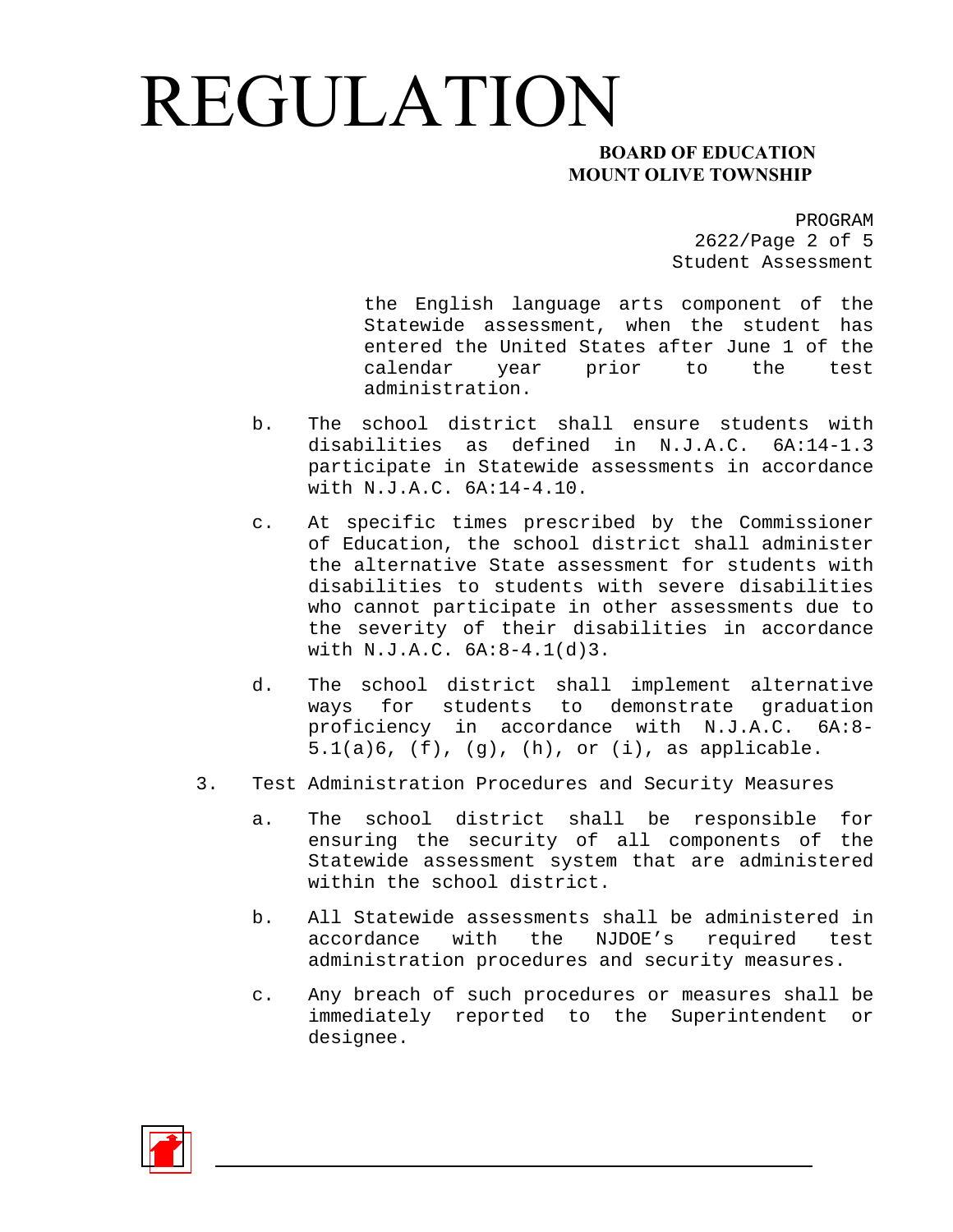#### **MOUNT OLIVE TOWNSHIP**

PROGRAM 2622/Page 2 of 5 Student Assessment

the English language arts component of the Statewide assessment, when the student has entered the United States after June 1 of the calendar year prior to the test administration.

- b. The school district shall ensure students with disabilities as defined in N.J.A.C. 6A:14-1.3 participate in Statewide assessments in accordance with N.J.A.C. 6A:14-4.10.
- c. At specific times prescribed by the Commissioner of Education, the school district shall administer the alternative State assessment for students with disabilities to students with severe disabilities who cannot participate in other assessments due to the severity of their disabilities in accordance with N.J.A.C. 6A:8-4.1(d)3.
- d. The school district shall implement alternative ways for students to demonstrate graduation proficiency in accordance with N.J.A.C. 6A:8- 5.1(a)6, (f), (g), (h), or (i), as applicable.
- 3. Test Administration Procedures and Security Measures
	- a. The school district shall be responsible for ensuring the security of all components of the Statewide assessment system that are administered within the school district.
	- b. All Statewide assessments shall be administered in accordance with the NJDOE's required test administration procedures and security measures.
	- c. Any breach of such procedures or measures shall be immediately reported to the Superintendent or designee.

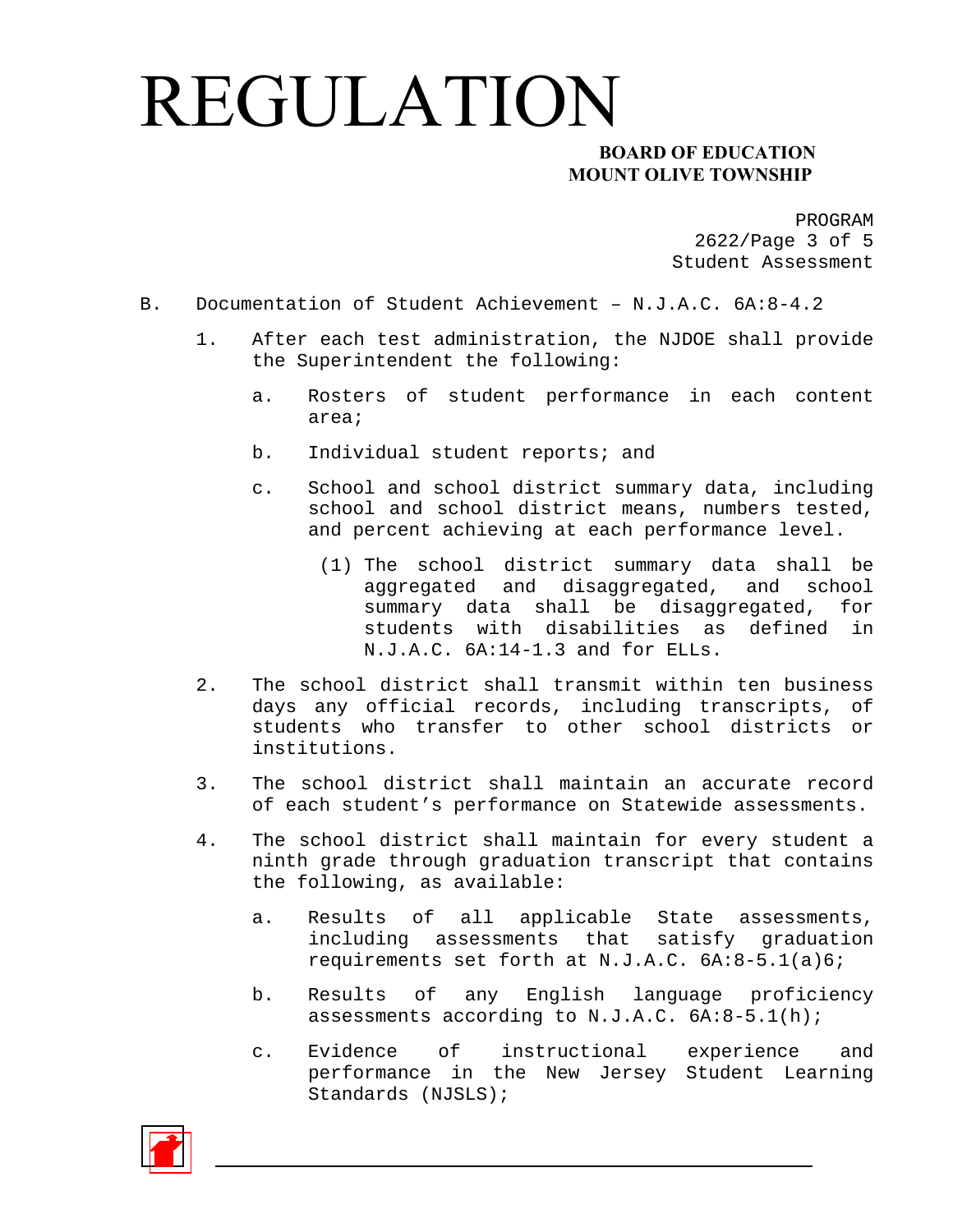#### **MOUNT OLIVE TOWNSHIP**

PROGRAM 2622/Page 3 of 5 Student Assessment

- B. Documentation of Student Achievement N.J.A.C. 6A:8-4.2
	- 1. After each test administration, the NJDOE shall provide the Superintendent the following:
		- a. Rosters of student performance in each content area;
		- b. Individual student reports; and
		- c. School and school district summary data, including school and school district means, numbers tested, and percent achieving at each performance level.
			- (1) The school district summary data shall be aggregated and disaggregated, and school summary data shall be disaggregated, for students with disabilities as defined in N.J.A.C. 6A:14-1.3 and for ELLs.
	- 2. The school district shall transmit within ten business days any official records, including transcripts, of students who transfer to other school districts or institutions.
	- 3. The school district shall maintain an accurate record of each student's performance on Statewide assessments.
	- 4. The school district shall maintain for every student a ninth grade through graduation transcript that contains the following, as available:
		- a. Results of all applicable State assessments, including assessments that satisfy graduation requirements set forth at N.J.A.C. 6A:8-5.1(a)6;
		- b. Results of any English language proficiency assessments according to N.J.A.C. 6A:8-5.1(h);
		- c. Evidence of instructional experience and performance in the New Jersey Student Learning Standards (NJSLS);

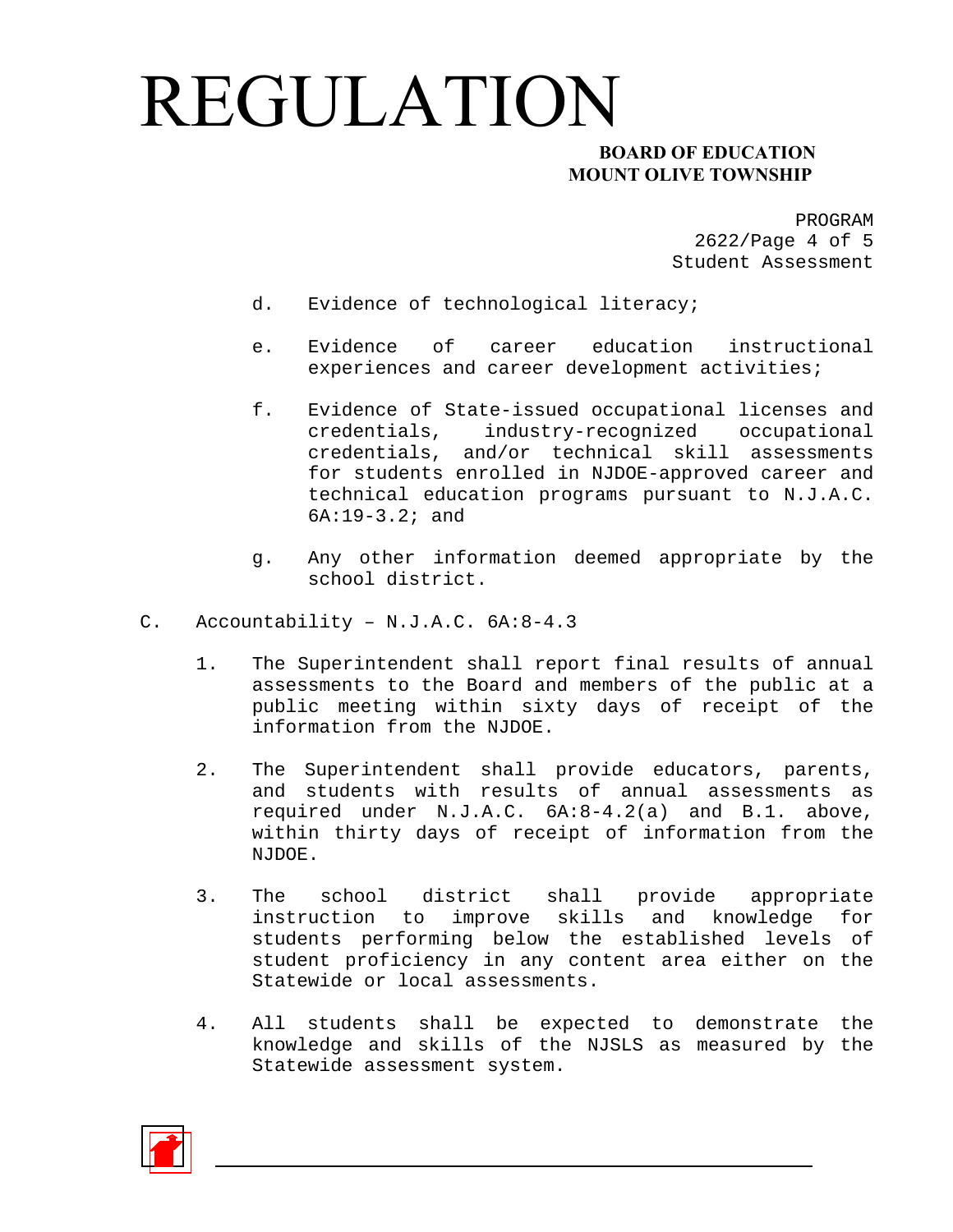### **MOUNT OLIVE TOWNSHIP**

PROGRAM 2622/Page 4 of 5 Student Assessment

- d. Evidence of technological literacy;
- e. Evidence of career education instructional experiences and career development activities;
- f. Evidence of State-issued occupational licenses and credentials, industry-recognized occupational credentials, and/or technical skill assessments for students enrolled in NJDOE-approved career and technical education programs pursuant to N.J.A.C. 6A:19-3.2; and
- g. Any other information deemed appropriate by the school district.
- C. Accountability N.J.A.C. 6A:8-4.3
	- 1. The Superintendent shall report final results of annual assessments to the Board and members of the public at a public meeting within sixty days of receipt of the information from the NJDOE.
	- 2. The Superintendent shall provide educators, parents, and students with results of annual assessments as required under N.J.A.C. 6A:8-4.2(a) and B.1. above, within thirty days of receipt of information from the NJDOE.
	- 3. The school district shall provide appropriate instruction to improve skills and knowledge for students performing below the established levels of student proficiency in any content area either on the Statewide or local assessments.
	- 4. All students shall be expected to demonstrate the knowledge and skills of the NJSLS as measured by the Statewide assessment system.